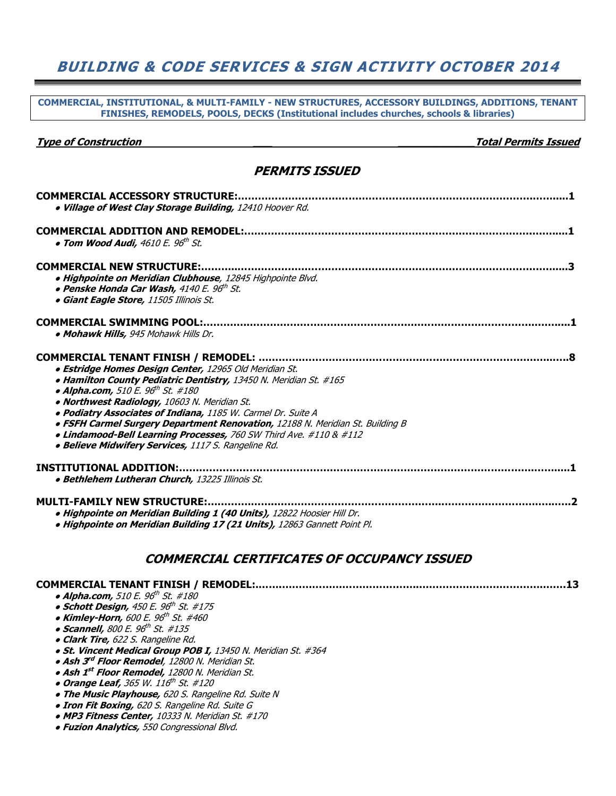### BUILDING & CODE SERVICES & SIGN ACTIVITY OCTOBER 2014

COMMERCIAL, INSTITUTIONAL, & MULTI-FAMILY - NEW STRUCTURES, ACCESSORY BUILDINGS, ADDITIONS, TENANT FINISHES, REMODELS, POOLS, DECKS (Institutional includes churches, schools & libraries)

Type of Construction \_\_\_ \_\_\_\_\_\_\_\_\_\_\_\_Total Permits Issued

**• Fuzion Analytics, 550 Congressional Blvd.** 

#### PERMITS ISSUED

| <b>COMMERCIAL ACCESSORY STRUCTURE:</b><br>. Village of West Clay Storage Building, 12410 Hoover Rd.                                                                                                                                                                                                                                                                                                                                                                                                                                                       |
|-----------------------------------------------------------------------------------------------------------------------------------------------------------------------------------------------------------------------------------------------------------------------------------------------------------------------------------------------------------------------------------------------------------------------------------------------------------------------------------------------------------------------------------------------------------|
| <b>COMMERCIAL ADDITION AND REMODEL:.</b><br>• Tom Wood Audi, 4610 E. 96 <sup>th</sup> St.                                                                                                                                                                                                                                                                                                                                                                                                                                                                 |
| <b>COMMERCIAL NEW STRUCTURE:</b><br>· Highpointe on Meridian Clubhouse, 12845 Highpointe Blvd.<br>• Penske Honda Car Wash, 4140 E. 96th St.<br><b>• Giant Eagle Store, 11505 Illinois St.</b>                                                                                                                                                                                                                                                                                                                                                             |
| <b>COMMERCIAL SWIMMING POOL:</b><br>• Mohawk Hills, 945 Mohawk Hills Dr.                                                                                                                                                                                                                                                                                                                                                                                                                                                                                  |
| <b>COMMERCIAL TENANT FINISH / REMODEL: </b><br>· Estridge Homes Design Center, 12965 Old Meridian St.<br>. Hamilton County Pediatric Dentistry, 13450 N. Meridian St. #165<br>• Alpha.com, 510 E. 96 <sup>th</sup> St. #180<br>· Northwest Radiology, 10603 N. Meridian St.<br>· Podiatry Associates of Indiana, 1185 W. Carmel Dr. Suite A<br>. FSFH Carmel Surgery Department Renovation, 12188 N. Meridian St. Building B<br>. Lindamood-Bell Learning Processes, 760 SW Third Ave. #110 & #112<br>• Believe Midwifery Services, 1117 S. Rangeline Rd. |
| <b>INSTITUTIONAL ADDITION:.</b><br>· Bethlehem Lutheran Church, 13225 Illinois St.                                                                                                                                                                                                                                                                                                                                                                                                                                                                        |
| <b>MULTI-FAMILY NEW STRUCTURE:</b><br>. Highpointe on Meridian Building 1 (40 Units), 12822 Hoosier Hill Dr.<br>· Highpointe on Meridian Building 17 (21 Units), 12863 Gannett Point Pl.                                                                                                                                                                                                                                                                                                                                                                  |

#### COMMERCIAL CERTIFICATES OF OCCUPANCY ISSUED

| <b>COMMERCIAL TENANT FINISH / REMODEL:</b>                    |  |
|---------------------------------------------------------------|--|
| • Alpha.com, 510 E. 96 <sup>th</sup> St. #180                 |  |
| • Schott Design, $450 E. 96th St. #175$                       |  |
| • Kimley-Horn, 600 E. $96^{th}$ St. #460                      |  |
| • Scannell, 800 E. $96^{\text{th}}$ St. #135                  |  |
| • Clark Tire, 622 S. Rangeline Rd.                            |  |
| • St. Vincent Medical Group POB I, 13450 N. Meridian St. #364 |  |
| · Ash 3rd Floor Remodel, 12800 N. Meridian St.                |  |
| • Ash 1 <sup>st</sup> Floor Remodel, 12800 N. Meridian St.    |  |
| • Orange Leaf, 365 W. 116 <sup>th</sup> St. #120              |  |
| • The Music Playhouse, 620 S. Rangeline Rd. Suite N           |  |
| <b>. Iron Fit Boxing,</b> 620 S. Rangeline Rd. Suite G        |  |
| • MP3 Fitness Center, 10333 N. Meridian St. #170              |  |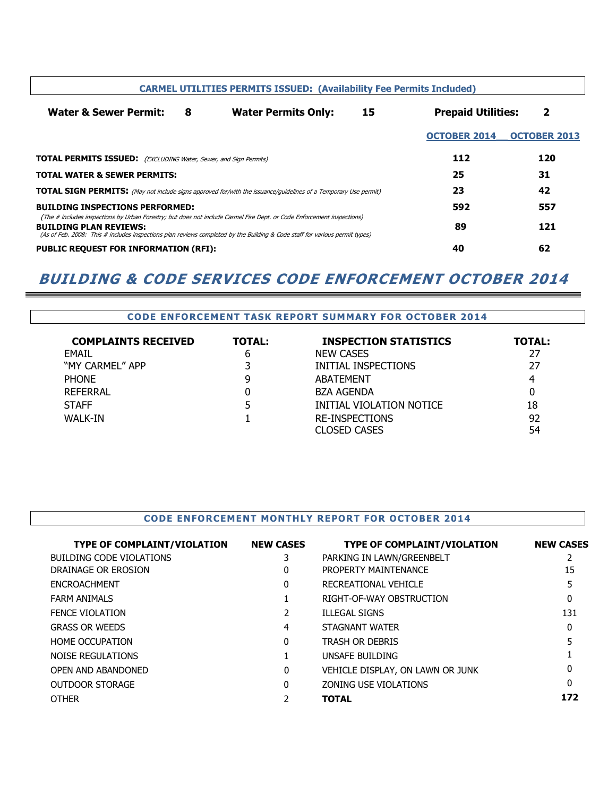| <b>CARMEL UTILITIES PERMITS ISSUED: (Availability Fee Permits Included)</b>                                                                                                                                                                                                            |   |                            |    |                           |                     |
|----------------------------------------------------------------------------------------------------------------------------------------------------------------------------------------------------------------------------------------------------------------------------------------|---|----------------------------|----|---------------------------|---------------------|
| <b>Water &amp; Sewer Permit:</b>                                                                                                                                                                                                                                                       | 8 | <b>Water Permits Only:</b> | 15 | <b>Prepaid Utilities:</b> | 2                   |
|                                                                                                                                                                                                                                                                                        |   |                            |    | <b>OCTOBER 2014</b>       | <b>OCTOBER 2013</b> |
| <b>TOTAL PERMITS ISSUED:</b> (EXCLUDING Water, Sewer, and Sign Permits)                                                                                                                                                                                                                |   |                            |    | 112                       | 120                 |
| <b>TOTAL WATER &amp; SEWER PERMITS:</b>                                                                                                                                                                                                                                                |   |                            | 25 | 31                        |                     |
| <b>TOTAL SIGN PERMITS:</b> (May not include signs approved for/with the issuance/guidelines of a Temporary Use permit)                                                                                                                                                                 |   | 23                         | 42 |                           |                     |
| <b>BUILDING INSPECTIONS PERFORMED:</b>                                                                                                                                                                                                                                                 |   |                            |    | 592                       | 557                 |
| (The # includes inspections by Urban Forestry; but does not include Carmel Fire Dept. or Code Enforcement inspections)<br><b>BUILDING PLAN REVIEWS:</b><br>(As of Feb. 2008: This # includes inspections plan reviews completed by the Building & Code staff for various permit types) |   |                            |    | 89                        | 121                 |
| <b>PUBLIC REQUEST FOR INFORMATION (RFI):</b>                                                                                                                                                                                                                                           |   |                            | 40 | 62                        |                     |

## BUILDING & CODE SERVICES CODE ENFORCEMENT OCTOBER 2014

#### CODE ENFORCEMENT TASK REPORT SUMMARY FOR OCTOBER 2014

| <b>COMPLAINTS RECEIVED</b> | <b>TOTAL:</b> | <b>INSPECTION STATISTICS</b> | <b>TOTAL:</b> |
|----------------------------|---------------|------------------------------|---------------|
| <b>EMAIL</b>               | 6             | NEW CASES                    | 27            |
| "MY CARMEL" APP            |               | INITIAL INSPECTIONS          | 27            |
| <b>PHONE</b>               | 9             | ABATEMENT                    | 4             |
| REFERRAL                   |               | <b>BZA AGENDA</b>            |               |
| <b>STAFF</b>               | 5             | INITIAL VIOLATION NOTICE     | 18            |
| WALK-IN                    |               | <b>RE-INSPECTIONS</b>        | 92            |
|                            |               | CLOSED CASES                 | 54            |

#### CODE ENFORCEMENT MONTHLY REPORT FOR OCTOBER 2014

| <b>TYPE OF COMPLAINT/VIOLATION</b> | <b>NEW CASES</b> | <b>TYPE OF COMPLAINT/VIOLATION</b> | <b>NEW CASES</b> |
|------------------------------------|------------------|------------------------------------|------------------|
| <b>BUILDING CODE VIOLATIONS</b>    | 3.               | PARKING IN LAWN/GREENBELT          |                  |
| DRAINAGE OR EROSION                | 0                | PROPERTY MAINTENANCE               | 15               |
| <b>ENCROACHMENT</b>                | 0                | RECREATIONAL VEHICLE               | 5                |
| <b>FARM ANIMALS</b>                |                  | RIGHT-OF-WAY OBSTRUCTION           | 0                |
| <b>FENCE VIOLATION</b>             |                  | <b>ILLEGAL SIGNS</b>               | 131              |
| <b>GRASS OR WEEDS</b>              | 4                | STAGNANT WATER                     | 0                |
| <b>HOME OCCUPATION</b>             | 0                | <b>TRASH OR DEBRIS</b>             |                  |
| <b>NOISE REGULATIONS</b>           |                  | UNSAFE BUILDING                    |                  |
| OPEN AND ABANDONED                 | 0                | VEHICLE DISPLAY, ON LAWN OR JUNK   | 0                |
| <b>OUTDOOR STORAGE</b>             | 0                | ZONING USE VIOLATIONS              | $\Omega$         |
| <b>OTHER</b>                       |                  | <b>TOTAL</b>                       | 172              |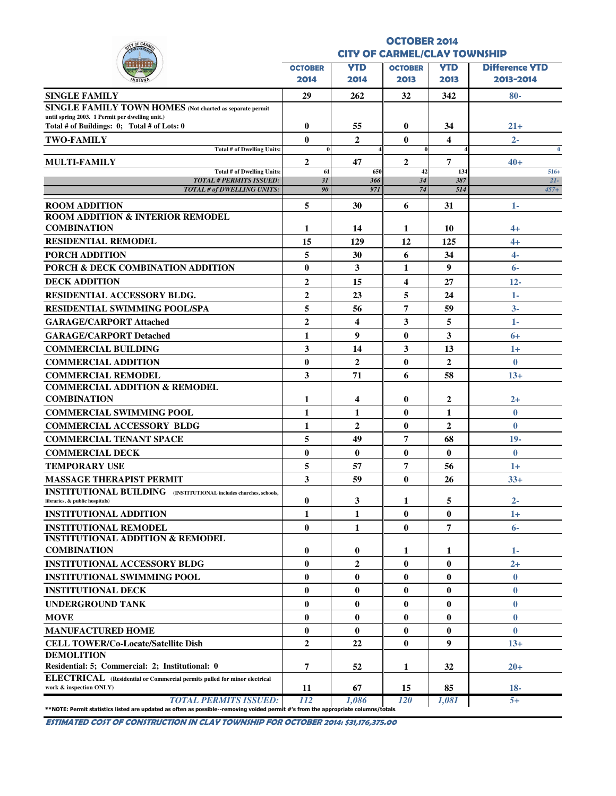| Y OF CAR                                                                                                                                                           |                                     |                         | <b>OCTOBER 2014</b> |                |                       |
|--------------------------------------------------------------------------------------------------------------------------------------------------------------------|-------------------------------------|-------------------------|---------------------|----------------|-----------------------|
|                                                                                                                                                                    | <b>CITY OF CARMEL/CLAY TOWNSHIP</b> |                         |                     |                |                       |
|                                                                                                                                                                    | <b>OCTOBER</b>                      | <b>YTD</b>              | <b>OCTOBER</b>      | <b>YTD</b>     | <b>Difference VTD</b> |
|                                                                                                                                                                    | 2014                                | 2014                    | 2013                | 2013           | 2013-2014             |
| <b>SINGLE FAMILY</b>                                                                                                                                               | 29                                  | 262                     | 32                  | 342            | $80-$                 |
| <b>SINGLE FAMILY TOWN HOMES</b> (Not charted as separate permit                                                                                                    |                                     |                         |                     |                |                       |
| until spring 2003. 1 Permit per dwelling unit.)<br>Total # of Buildings: 0; Total # of Lots: 0                                                                     | $\bf{0}$                            | 55                      | $\bf{0}$            | 34             | $21+$                 |
| <b>TWO-FAMILY</b>                                                                                                                                                  | $\bf{0}$                            | $\mathbf{2}$            | $\mathbf{0}$        | 4              | $2 -$                 |
| <b>Total # of Dwelling Units:</b>                                                                                                                                  | $\bf{0}$                            |                         | $\bf{0}$            |                | $\bf{0}$              |
| <b>MULTI-FAMILY</b>                                                                                                                                                | 2                                   | 47                      | $\overline{2}$      | 7              | $40+$                 |
| <b>Total # of Dwelling Units:</b><br><b>TOTAL # PERMITS ISSUED:</b>                                                                                                | 61<br>3I                            | 650                     | 42<br>34            | 134<br>387     | $516+$<br>$2I-$       |
| <b>TOTAL # of DWELLING UNITS:</b>                                                                                                                                  | 90                                  | 366<br>971              | 74                  | 514            | $457+$                |
| <b>ROOM ADDITION</b>                                                                                                                                               | 5                                   | 30                      | 6                   | 31             | 1-                    |
| <b>ROOM ADDITION &amp; INTERIOR REMODEL</b>                                                                                                                        |                                     |                         |                     |                |                       |
| <b>COMBINATION</b>                                                                                                                                                 | 1                                   | 14                      | 1                   | 10             | 4+                    |
| <b>RESIDENTIAL REMODEL</b>                                                                                                                                         | 15                                  | 129                     | 12                  | 125            | $4+$                  |
| PORCH ADDITION                                                                                                                                                     | 5                                   | 30                      | 6                   | 34             | $4 -$                 |
| PORCH & DECK COMBINATION ADDITION                                                                                                                                  | $\bf{0}$                            | 3                       | 1                   | 9              | $6-$                  |
| <b>DECK ADDITION</b>                                                                                                                                               | $\boldsymbol{2}$                    | 15                      | 4                   | 27             | $12 -$                |
| RESIDENTIAL ACCESSORY BLDG.                                                                                                                                        | $\boldsymbol{2}$                    | 23                      | 5                   | 24             | $1-$                  |
| <b>RESIDENTIAL SWIMMING POOL/SPA</b>                                                                                                                               | 5                                   | 56                      | 7                   | 59             | $3-$                  |
| <b>GARAGE/CARPORT Attached</b>                                                                                                                                     | $\overline{2}$                      | $\overline{\mathbf{4}}$ | $\mathbf{3}$        | 5              | $1 -$                 |
| <b>GARAGE/CARPORT Detached</b>                                                                                                                                     | 1                                   | 9                       | $\bf{0}$            | 3              | $6+$                  |
| <b>COMMERCIAL BUILDING</b>                                                                                                                                         | 3                                   | 14                      | $\mathbf{3}$        | 13             | $1+$                  |
| <b>COMMERCIAL ADDITION</b>                                                                                                                                         | $\bf{0}$                            | $\overline{2}$          | $\bf{0}$            | $\overline{2}$ | $\bf{0}$              |
| <b>COMMERCIAL REMODEL</b>                                                                                                                                          | 3                                   | 71                      | 6                   | 58             | $13+$                 |
| <b>COMMERCIAL ADDITION &amp; REMODEL</b>                                                                                                                           |                                     |                         |                     |                |                       |
| <b>COMBINATION</b>                                                                                                                                                 | 1                                   | 4                       | $\bf{0}$            | 2              | $2+$                  |
| <b>COMMERCIAL SWIMMING POOL</b>                                                                                                                                    | $\mathbf{1}$                        | 1                       | $\mathbf{0}$        | 1              | $\bf{0}$              |
| <b>COMMERCIAL ACCESSORY BLDG</b>                                                                                                                                   | 1                                   | $\overline{2}$          | $\bf{0}$            | $\mathbf{2}$   | $\bf{0}$              |
| <b>COMMERCIAL TENANT SPACE</b>                                                                                                                                     | 5                                   | 49                      | $\overline{7}$      | 68             | $19-$                 |
| <b>COMMERCIAL DECK</b>                                                                                                                                             | $\bf{0}$                            | $\bf{0}$                | $\bf{0}$            | $\bf{0}$       | $\bf{0}$              |
| <b>TEMPORARY USE</b>                                                                                                                                               | 5                                   | 57                      | $\overline{7}$      | 56             | $1+$                  |
| <b>MASSAGE THERAPIST PERMIT</b>                                                                                                                                    | 3                                   | 59                      | $\bf{0}$            | 26             | $33+$                 |
| <b>INSTITUTIONAL BUILDING</b> (INSTITUTIONAL includes churches, schools,                                                                                           |                                     |                         |                     |                |                       |
| libraries, & public hospitals)                                                                                                                                     | $\bf{0}$                            | 3                       | 1                   | 5              | $2 -$                 |
| <b>INSTITUTIONAL ADDITION</b>                                                                                                                                      | 1                                   | 1                       | $\bf{0}$            | $\bf{0}$       | $1+$                  |
| <b>INSTITUTIONAL REMODEL</b><br><b>INSTITUTIONAL ADDITION &amp; REMODEL</b>                                                                                        | $\mathbf{0}$                        | 1                       | $\bf{0}$            | 7              | $6-$                  |
| <b>COMBINATION</b>                                                                                                                                                 | $\bf{0}$                            | $\bf{0}$                | 1                   | 1              | 1-                    |
| <b>INSTITUTIONAL ACCESSORY BLDG</b>                                                                                                                                | $\mathbf{0}$                        | $\overline{2}$          | $\mathbf{0}$        | $\mathbf{0}$   | $2+$                  |
| <b>INSTITUTIONAL SWIMMING POOL</b>                                                                                                                                 | $\bf{0}$                            | $\bf{0}$                | $\bf{0}$            | $\bf{0}$       | $\bf{0}$              |
| <b>INSTITUTIONAL DECK</b>                                                                                                                                          | $\bf{0}$                            | $\bf{0}$                | $\bf{0}$            | $\bf{0}$       | $\bf{0}$              |
| <b>UNDERGROUND TANK</b>                                                                                                                                            | $\bf{0}$                            | $\bf{0}$                | $\bf{0}$            | $\bf{0}$       | $\bf{0}$              |
| <b>MOVE</b>                                                                                                                                                        | $\bf{0}$                            | $\bf{0}$                | $\bf{0}$            | $\bf{0}$       | $\bf{0}$              |
| <b>MANUFACTURED HOME</b>                                                                                                                                           | $\bf{0}$                            | $\bf{0}$                | $\bf{0}$            | $\bf{0}$       | $\bf{0}$              |
| <b>CELL TOWER/Co-Locate/Satellite Dish</b>                                                                                                                         | $\overline{2}$                      | 22                      | $\bf{0}$            | 9              | $13+$                 |
| <b>DEMOLITION</b>                                                                                                                                                  |                                     |                         |                     |                |                       |
| Residential: 5; Commercial: 2; Institutional: 0                                                                                                                    | 7                                   | 52                      | 1                   | 32             | $20+$                 |
| ELECTRICAL (Residential or Commercial permits pulled for minor electrical                                                                                          |                                     |                         |                     |                |                       |
| work & inspection ONLY)                                                                                                                                            | 11                                  | 67                      | 15                  | 85             | $18-$                 |
| <b>TOTAL PERMITS ISSUED:</b><br>**NOTE: Permit statistics listed are updated as often as possible--removing voided permit #'s from the appropriate columns/totals. | 112                                 | 1.086                   | <i>120</i>          | 1,081          | $5+$                  |

ESTIMATED COST OF CONSTRUCTION IN CLAY TOWNSHIP FOR OCTOBER 2014: \$31,176,375.00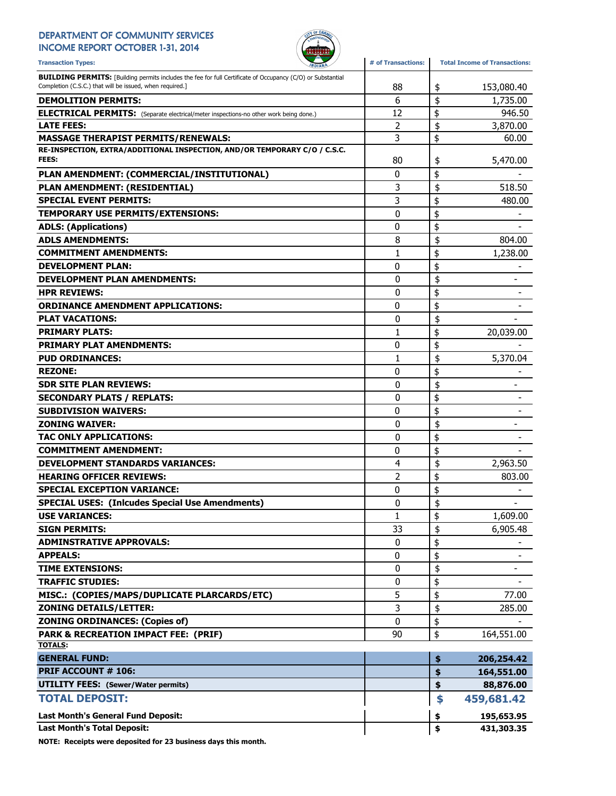#### DEPARTMENT OF COMMUNITY SERVICES INCOME REPORT OCTOBER 1-31, 2014



Transaction Types: **All any of Transactions**: **#** of Transactions: Total Income of Transactions: **BUILDING PERMITS:** [Building permits includes the fee for full Certificate of Occupancy (C/O) or Substantial Completion (C.S.C.) that will be issued, when required.] 88 153,080.40 **6 153,080.40 DEMOLITION PERMITS:**  $\begin{array}{ccc} 6 & 6 \end{array}$   $\begin{array}{ccc} 6 & 1,735.00 \end{array}$ ELECTRICAL PERMITS: (Separate electrical/meter inspections-no other work being done.) 12 | \$ 946.50 **LATE FEES:**  $\begin{array}{ccccccc} & & & & & & \text{2} & \text{5} & \text{3,870.00} \end{array}$ MASSAGE THERAPIST PERMITS/RENEWALS:  $\begin{array}{ccc} 3 & 3 \\ 6 & 0.00 \end{array}$ RE-INSPECTION, EXTRA/ADDITIONAL INSPECTION, AND/OR TEMPORARY C/O / C.S.C. FEES:  $\begin{array}{ccccccc} 5,470.00 \ 80 & & 15.470.00 \end{array}$ PLAN AMENDMENT: (COMMERCIAL/INSTITUTIONAL) 0 \$ - PLAN AMENDMENT: (RESIDENTIAL) 3 \$ 518.50 SPECIAL EVENT PERMITS:  $\begin{array}{ccc} 3 & 3 & 480.00 \\ 4 & 3 & 480.00 \\ 5 & 4 & 480.00 \\ 6 & 6 & 4 & 480.00 \\ 7 & 8 & 4 & 480.00 \\ 8 & 9 & 16 & 140.00 \\ 10 & 10 & 10 & 140.00 \\ 11 & 10 & 10 & 140.00 \\ 13 & 10 & 10 & 140.00 \\ 14 & 10 & 10 & 140.00 \\ 15 & 10 & 10 & 140.$ TEMPORARY USE PERMITS/EXTENSIONS: 0 \$ - ADLS: (Applications)  $\begin{array}{ccc} 0 & \text{if } 0 & \text{if } 0 \end{array}$ ADLS AMENDMENTS:  $\begin{array}{ccc} 8 & 304.00 \\ \end{array}$ **COMMITMENT AMENDMENTS:**  $\begin{array}{ccc} 1 & 1 & 1 \\ 1 & 1 & 1 \end{array}$  1,238.00 DEVELOPMENT PLAN:  $\begin{array}{ccc} & 0 & \frac{1}{2} & \frac{1}{2} & \frac{1}{2} & \frac{1}{2} & \frac{1}{2} & \frac{1}{2} & \frac{1}{2} & \frac{1}{2} & \frac{1}{2} & \frac{1}{2} & \frac{1}{2} & \frac{1}{2} & \frac{1}{2} & \frac{1}{2} & \frac{1}{2} & \frac{1}{2} & \frac{1}{2} & \frac{1}{2} & \frac{1}{2} & \frac{1}{2} & \frac{1}{2} & \frac{1}{2} & \frac{1}{2} & \frac{1}{2}$ DEVELOPMENT PLAN AMENDMENTS:  $\begin{array}{ccc} & & & \ & & \ & & \ & & \ & & 0 & \end{array}$   $\uparrow$   $\qquad$ HPR REVIEWS: 0 \$ - ORDINANCE AMENDMENT APPLICATIONS:  $\begin{array}{ccc} 0 & \ {\color{red} \S} & \end{array}$ PLAT VACATIONS:  $\begin{array}{ccc} & & & & \\\textcolor{red}{\mathbf{0}} & & \end{array}$ **PRIMARY PLATS:** 20,039.00 PRIMARY PLAT AMENDMENTS:  $\begin{array}{ccc} & & & & \ & & & \ & & & \ & & & 0 & \end{array}$ PUD ORDINANCES:  $\begin{array}{ccc} 1 & 1 & 5 & 5,370.04 \end{array}$ REZONE: the set of the set of the set of the set of the set of the set of the set of the set of the set of the set of the set of the set of the set of the set of the set of the set of the set of the set of the set of the SDR SITE PLAN REVIEWS: 0 - \$ SECONDARY PLATS / REPLATS: 0 \$ - SUBDIVISION WAIVERS:  $\begin{array}{ccc} 0 & & \pm \end{array}$ **ZONING WAIVER:**  $\begin{bmatrix} 0 & 0 \end{bmatrix}$   $\uparrow$ TAC ONLY APPLICATIONS:  $\begin{array}{ccc} & & & & 0 & \ {\mathbb{S}} & & \ {\mathbb{S}} & & \ {\mathbb{S}} & & \ {\mathbb{S}} & & \end{array}$  $\begin{array}{ccc} \textbf{COMMITMENT} & \textbf{S} & \textbf{S} \ \textbf{S} & \textbf{S} & \textbf{S} \end{array}$ DEVELOPMENT STANDARDS VARIANCES:  $\begin{array}{ccc} 4 & 4 \\ 2 & 963.50 \end{array}$ HEARING OFFICER REVIEWS:  $\begin{array}{ccc} & 2 & | \ \$ & 803.00 \end{array}$ SPECIAL EXCEPTION VARIANCE: 0 \$ - SPECIAL USES: (Inlcudes Special Use Amendments)  $\begin{array}{ccc} \mid & 0 & \frac{1}{3} \end{array}$ USE VARIANCES:  $\begin{array}{ccc} 1 & 1 & 1 \\ 1 & 1 & 1 \end{array}$   $\begin{array}{ccc} 1,609.00 \\ 1,609.00 \end{array}$ **SIGN PERMITS:**  $6,905.48$ ADMINSTRATIVE APPROVALS:  $\begin{array}{ccc} 0 & \ {\mathfrak{z}} & \ - & \end{array}$  $\begin{array}{ccc} \textbf{APPEALS:} \end{array}$ TIME EXTENSIONS: 0 - \$ TRAFFIC STUDIES: 0 \$ - MISC.: (COPIES/MAPS/DUPLICATE PLARCARDS/ETC)  $\begin{array}{ccc} 5 & 5 \\ 5 & 5 \end{array}$  = 77.00 **ZONING DETAILS/LETTER:**  $\begin{array}{ccc} 3 & 3 \end{array}$  285.00 **ZONING ORDINANCES: (Copies of)**  $\begin{array}{ccc} \bullet & \bullet & \bullet \\ \bullet & \bullet & \bullet \end{array}$ **PARK & RECREATION IMPACT FEE: (PRIF)** 40 0 90 90 9164,551.00 TOTALS: GENERAL FUND: \$ 206,254.42 PRIF ACCOUNT # 106: **\$** 164,551.00 UTILITY FEES: (Sewer/Water permits) 88,876.00 TOTAL DEPOSIT: \$ 459,681.42 Last Month's General Fund Deposit:  $\begin{array}{ccc} 1 & 195,653.95 \end{array}$ 

Last Month's Total Deposit:  $\begin{array}{ccc} 1 & 31,303.35 \end{array}$ 

NOTE: Receipts were deposited for 23 business days this month.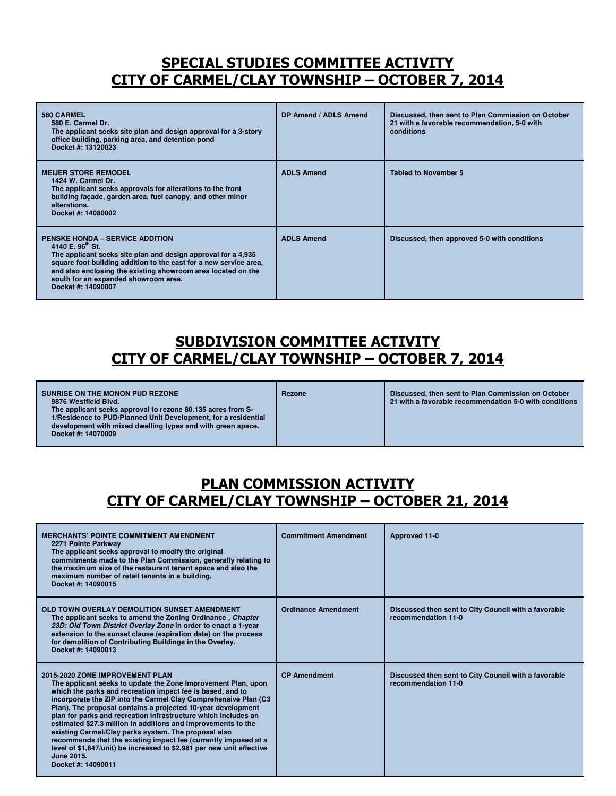### SPECIAL STUDIES COMMITTEE ACTIVITY CITY OF CARMEL/CLAY TOWNSHIP – OCTOBER 7, 2014

| 580 CARMEL<br>580 E. Carmel Dr.<br>The applicant seeks site plan and design approval for a 3-story<br>office building, parking area, and detention pond<br>Docket #: 13120023                                                                                                                                                              | DP Amend / ADLS Amend | Discussed, then sent to Plan Commission on October<br>21 with a favorable recommendation, 5-0 with<br>conditions |
|--------------------------------------------------------------------------------------------------------------------------------------------------------------------------------------------------------------------------------------------------------------------------------------------------------------------------------------------|-----------------------|------------------------------------------------------------------------------------------------------------------|
| <b>MEIJER STORE REMODEL</b><br>1424 W. Carmel Dr.<br>The applicant seeks approvals for alterations to the front<br>building facade, garden area, fuel canopy, and other minor<br>alterations.<br>Docket #: 14080002                                                                                                                        | <b>ADLS Amend</b>     | <b>Tabled to November 5</b>                                                                                      |
| <b>PENSKE HONDA – SERVICE ADDITION</b><br>4140 E. $96^{\text{th}}$ St.<br>The applicant seeks site plan and design approval for a 4,935<br>square foot building addition to the east for a new service area,<br>and also enclosing the existing showroom area located on the<br>south for an expanded showroom area.<br>Docket #: 14090007 | <b>ADLS Amend</b>     | Discussed, then approved 5-0 with conditions                                                                     |

## SUBDIVISION COMMITTEE ACTIVITY CITY OF CARMEL/CLAY TOWNSHIP – OCTOBER 7, 2014

|  | SUNRISE ON THE MONON PUD REZONE<br>9876 Westfield Blvd.<br>The applicant seeks approval to rezone 80.135 acres from S-<br>1/Residence to PUD/Planned Unit Development, for a residential<br>development with mixed dwelling types and with green space.<br>Docket #: 14070009 | Rezone | Discussed, then sent to Plan Commission on October<br>21 with a favorable recommendation 5-0 with conditions |
|--|-------------------------------------------------------------------------------------------------------------------------------------------------------------------------------------------------------------------------------------------------------------------------------|--------|--------------------------------------------------------------------------------------------------------------|
|--|-------------------------------------------------------------------------------------------------------------------------------------------------------------------------------------------------------------------------------------------------------------------------------|--------|--------------------------------------------------------------------------------------------------------------|

## PLAN COMMISSION ACTIVITY CITY OF CARMEL/CLAY TOWNSHIP – OCTOBER 21, 2014

| <b>MERCHANTS' POINTE COMMITMENT AMENDMENT</b><br>2271 Pointe Parkway<br>The applicant seeks approval to modify the original<br>commitments made to the Plan Commission, generally relating to<br>the maximum size of the restaurant tenant space and also the<br>maximum number of retail tenants in a building.<br>Docket #: 14090015                                                                                                                                                                                                                                                                                                                                       | <b>Commitment Amendment</b> | Approved 11-0                                                               |
|------------------------------------------------------------------------------------------------------------------------------------------------------------------------------------------------------------------------------------------------------------------------------------------------------------------------------------------------------------------------------------------------------------------------------------------------------------------------------------------------------------------------------------------------------------------------------------------------------------------------------------------------------------------------------|-----------------------------|-----------------------------------------------------------------------------|
| OLD TOWN OVERLAY DEMOLITION SUNSET AMENDMENT<br>The applicant seeks to amend the Zoning Ordinance, Chapter<br>23D: Old Town District Overlay Zone in order to enact a 1-year<br>extension to the sunset clause (expiration date) on the process<br>for demolition of Contributing Buildings in the Overlay.<br>Docket #: 14090013                                                                                                                                                                                                                                                                                                                                            | <b>Ordinance Amendment</b>  | Discussed then sent to City Council with a favorable<br>recommendation 11-0 |
| 2015-2020 ZONE IMPROVEMENT PLAN<br>The applicant seeks to update the Zone Improvement Plan, upon<br>which the parks and recreation impact fee is based, and to<br>incorporate the ZIP into the Carmel Clay Comprehensive Plan (C3<br>Plan). The proposal contains a projected 10-year development<br>plan for parks and recreation infrastructure which includes an<br>estimated \$27.3 million in additions and improvements to the<br>existing Carmel/Clay parks system. The proposal also<br>recommends that the existing impact fee (currently imposed at a<br>level of \$1,847/unit) be increased to \$2,981 per new unit effective<br>June 2015.<br>Docket #: 14090011 | <b>CP Amendment</b>         | Discussed then sent to City Council with a favorable<br>recommendation 11-0 |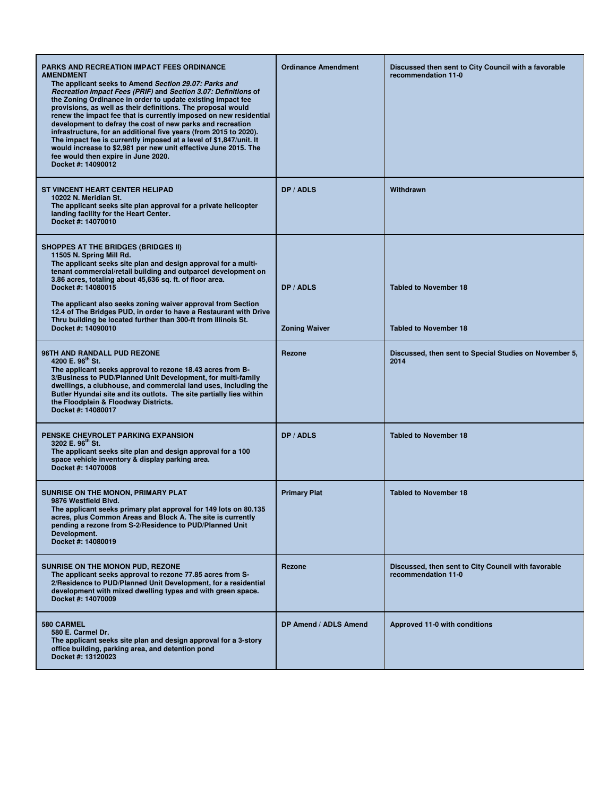| <b>PARKS AND RECREATION IMPACT FEES ORDINANCE</b><br><b>AMENDMENT</b><br>The applicant seeks to Amend Section 29.07: Parks and<br>Recreation Impact Fees (PRIF) and Section 3.07: Definitions of<br>the Zoning Ordinance in order to update existing impact fee<br>provisions, as well as their definitions. The proposal would<br>renew the impact fee that is currently imposed on new residential<br>development to defray the cost of new parks and recreation<br>infrastructure, for an additional five years (from 2015 to 2020).<br>The impact fee is currently imposed at a level of \$1,847/unit. It<br>would increase to \$2,981 per new unit effective June 2015. The<br>fee would then expire in June 2020.<br>Docket #: 14090012 | <b>Ordinance Amendment</b>        | Discussed then sent to City Council with a favorable<br>recommendation 11-0 |
|-----------------------------------------------------------------------------------------------------------------------------------------------------------------------------------------------------------------------------------------------------------------------------------------------------------------------------------------------------------------------------------------------------------------------------------------------------------------------------------------------------------------------------------------------------------------------------------------------------------------------------------------------------------------------------------------------------------------------------------------------|-----------------------------------|-----------------------------------------------------------------------------|
| <b>ST VINCENT HEART CENTER HELIPAD</b><br>10202 N. Meridian St.<br>The applicant seeks site plan approval for a private helicopter<br>landing facility for the Heart Center.<br>Docket #: 14070010                                                                                                                                                                                                                                                                                                                                                                                                                                                                                                                                            | DP / ADLS                         | Withdrawn                                                                   |
| <b>SHOPPES AT THE BRIDGES (BRIDGES II)</b><br>11505 N. Spring Mill Rd.<br>The applicant seeks site plan and design approval for a multi-<br>tenant commercial/retail building and outparcel development on<br>3.86 acres, totaling about 45,636 sq. ft. of floor area.<br>Docket #: 14080015<br>The applicant also seeks zoning waiver approval from Section<br>12.4 of The Bridges PUD, in order to have a Restaurant with Drive<br>Thru building be located further than 300-ft from Illinois St.<br>Docket #: 14090010                                                                                                                                                                                                                     | DP / ADLS<br><b>Zoning Waiver</b> | <b>Tabled to November 18</b><br><b>Tabled to November 18</b>                |
| 96TH AND RANDALL PUD REZONE<br>4200 E. 96 <sup>th</sup> St.<br>The applicant seeks approval to rezone 18.43 acres from B-<br>3/Business to PUD/Planned Unit Development, for multi-family<br>dwellings, a clubhouse, and commercial land uses, including the<br>Butler Hyundai site and its outlots. The site partially lies within<br>the Floodplain & Floodway Districts.<br>Docket #: 14080017                                                                                                                                                                                                                                                                                                                                             | Rezone                            | Discussed, then sent to Special Studies on November 5,<br>2014              |
| <b>PENSKE CHEVROLET PARKING EXPANSION</b><br>3202 E. 96 <sup>th</sup> St.<br>The applicant seeks site plan and design approval for a 100<br>space vehicle inventory & display parking area.<br>Docket #: 14070008                                                                                                                                                                                                                                                                                                                                                                                                                                                                                                                             | DP / ADLS                         | <b>Tabled to November 18</b>                                                |
| SUNRISE ON THE MONON, PRIMARY PLAT<br>9876 Westfield Blvd.<br>The applicant seeks primary plat approval for 149 lots on 80.135<br>acres, plus Common Areas and Block A. The site is currently<br>pending a rezone from S-2/Residence to PUD/Planned Unit<br>Development.<br>Docket #: 14080019                                                                                                                                                                                                                                                                                                                                                                                                                                                | <b>Primary Plat</b>               | <b>Tabled to November 18</b>                                                |
| SUNRISE ON THE MONON PUD, REZONE<br>The applicant seeks approval to rezone 77.85 acres from S-<br>2/Residence to PUD/Planned Unit Development, for a residential<br>development with mixed dwelling types and with green space.<br>Docket #: 14070009                                                                                                                                                                                                                                                                                                                                                                                                                                                                                         | Rezone                            | Discussed, then sent to City Council with favorable<br>recommendation 11-0  |
| 580 CARMEL<br>580 E. Carmel Dr.<br>The applicant seeks site plan and design approval for a 3-story<br>office building, parking area, and detention pond<br>Docket #: 13120023                                                                                                                                                                                                                                                                                                                                                                                                                                                                                                                                                                 | DP Amend / ADLS Amend             | Approved 11-0 with conditions                                               |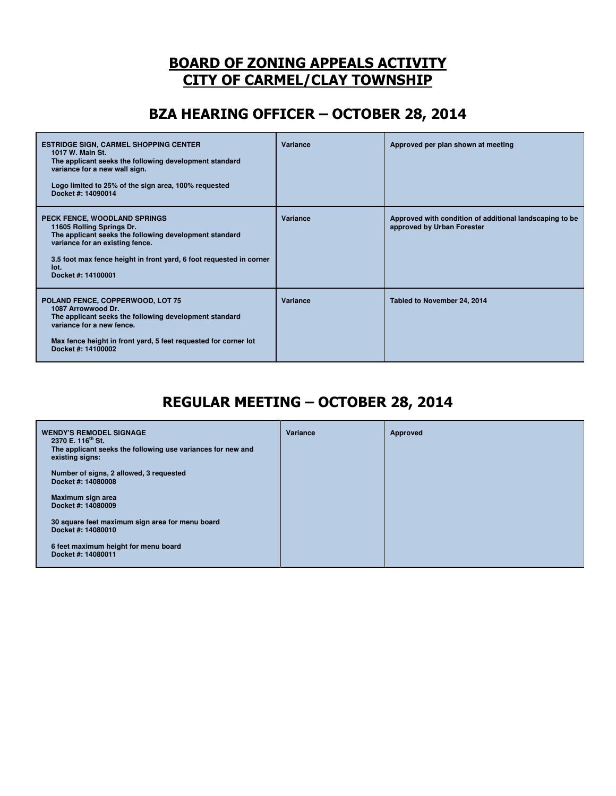### BOARD OF ZONING APPEALS ACTIVITY CITY OF CARMEL/CLAY TOWNSHIP

## BZA HEARING OFFICER – OCTOBER 28, 2014

| <b>ESTRIDGE SIGN, CARMEL SHOPPING CENTER</b><br>1017 W. Main St.<br>The applicant seeks the following development standard<br>variance for a new wall sign.<br>Logo limited to 25% of the sign area, 100% requested<br>Docket #: 14090014                   | Variance | Approved per plan shown at meeting                                                    |
|-------------------------------------------------------------------------------------------------------------------------------------------------------------------------------------------------------------------------------------------------------------|----------|---------------------------------------------------------------------------------------|
| PECK FENCE, WOODLAND SPRINGS<br>11605 Rolling Springs Dr.<br>The applicant seeks the following development standard<br>variance for an existing fence.<br>3.5 foot max fence height in front yard, 6 foot requested in corner<br>lot.<br>Docket #: 14100001 | Variance | Approved with condition of additional landscaping to be<br>approved by Urban Forester |
| POLAND FENCE, COPPERWOOD, LOT 75<br>1087 Arrowwood Dr.<br>The applicant seeks the following development standard<br>variance for a new fence.<br>Max fence height in front yard, 5 feet requested for corner lot<br>Docket #: 14100002                      | Variance | Tabled to November 24, 2014                                                           |

## REGULAR MEETING – OCTOBER 28, 2014

| <b>WENDY'S REMODEL SIGNAGE</b><br>2370 E. 116 <sup>th</sup> St. | Variance | Approved |
|-----------------------------------------------------------------|----------|----------|
| The applicant seeks the following use variances for new and     |          |          |
| existing signs:                                                 |          |          |
| Number of signs, 2 allowed, 3 requested                         |          |          |
| Docket #: 14080008                                              |          |          |
| Maximum sign area                                               |          |          |
| Docket #: 14080009                                              |          |          |
| 30 square feet maximum sign area for menu board                 |          |          |
| Docket #: 14080010                                              |          |          |
| 6 feet maximum height for menu board                            |          |          |
| Docket #: 14080011                                              |          |          |
|                                                                 |          |          |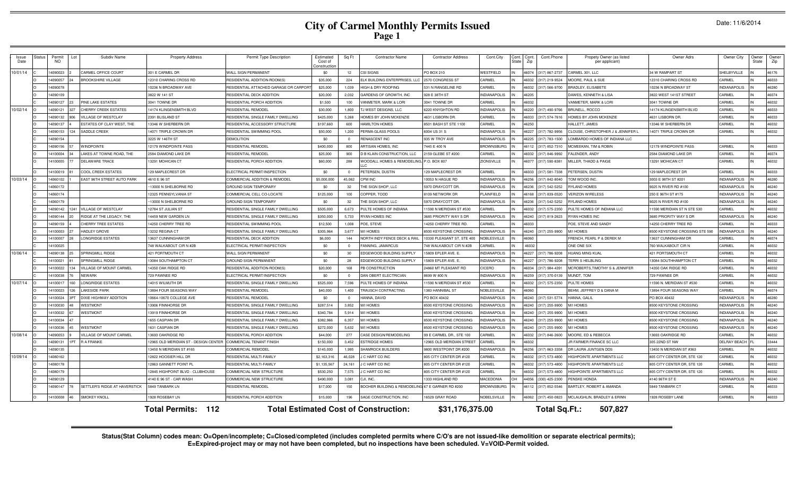# **City of Carmel Monthly Permits Issued Page 1**

| Date: 11/6/2014 |
|-----------------|
|                 |

| Issue<br>Date | Status | Permit<br><b>NO</b> | Subdiv Name                       | <b>Property Address</b>              | <b>Permit Type Description</b>        | Estimated<br>Cost of<br>Constructio | Sq Ft      | <b>Contractor Name</b>                          | Contractor Address         | Cont.City           | Cont. | Cont.<br>Zip | Cont.Phone           | Propety Owner (as listed<br>per applicant) | Owner Adrs                     | Owner City          | Owner<br>State | Owner<br>Zip |
|---------------|--------|---------------------|-----------------------------------|--------------------------------------|---------------------------------------|-------------------------------------|------------|-------------------------------------------------|----------------------------|---------------------|-------|--------------|----------------------|--------------------------------------------|--------------------------------|---------------------|----------------|--------------|
| 10/01/14      |        | 14090023            | CARMEL OFFICE COURT               | 301 F CARMEL DR                      | WALL SIGN PERMANENT                   | \$0                                 | 12         | <b>CSI SIGNS</b>                                | PO BOX 210                 | <b>WESTFIELD</b>    | IN    |              | 16074 (317) 867-2737 | CARMEL 301, LLC                            | 34 W RAMPART ST                | SHELBYVILLE         |                | 46176        |
|               |        | 14090057            | <b>BROOKSHIRE VILLAGE</b>         | 12310 CHARING CROSS RD               | RESIDENTIAL ADDITION-ROOM(S           | \$35,000                            | 224        | ELK BUILDING ENTERPRISES, LL                    | 2570 CONGRESS ST           | CARMEL              | IN    | 6032         | (317) 219-9524       | MOORE, PAUL & SUE                          | 12310 CHARING CROSS RD         | CARMEL              |                | 46033        |
|               |        | 14090078            |                                   | 10236 N BROADWAY AVE                 | RESIDENTIAL ATTACHED GARAGE OR CARPOR | \$25,000                            | 1.039      | HIGH & DRY ROOFING                              | 531 N RANGELINE RD         | CARMEL              | IN    |              | 16032 (317) 566-9700 | <b>BRADLEY, ELISABETE</b>                  | 10236 N BROADWAY ST            | <b>INDIANAPOLIS</b> |                | 46280        |
|               |        | 14090109            |                                   | 3822 W 141 ST                        | RESIDENTIAI DECK ADDITION             | \$20,000                            | 2,032      | GARDENS OF GROWTH, INC                          | 928 E 38TH ST              | <b>INDIANAPOLIS</b> |       | 16205        |                      | DAWES, KENNETH & LISA                      | 3822 WEST 141ST STREET         | CARMEL              |                | 46074        |
|               |        | 14090127            | <b>PINE LAKE ESTATES</b>          | 3041 TOWNE DR                        | RESIDENTIAL PORCH ADDITION            | \$1,500                             | 100        | VANMETER, MARK & LORI                           | 3041 TOWNE DR              | CARMEL              |       | 16032        |                      | VANMETER, MARK & LOR                       | 3041 TOWNE DR                  | CARMEL              |                | 46032        |
| 10/02/14      |        | 14090121            | <b>CHERRY CREEK ESTATES</b>       | 14174 KLINGENSMITH BLVD              | RESIDENTIAL REMODEL                   | \$30,000                            | 1,800      | J WEST DESIGNS, LLC                             | 6220 KNYGHTON RD           | <b>INDIANAPOLIS</b> |       |              | 46220 (317) 490-9766 | <b>BRUNELL, ROCCO</b>                      | 14174 KLINGENSMITH BLVD        | CARMEL              | IN             | 46033        |
|               |        | 14090132            | <b><i>VILLAGE OF WESTCLAY</i></b> | 2391 BLISLAND ST                     | RESIDENTIAL SINGLE FAMILY DWELLING    | \$425,000                           | 5.268      | HOMES BY JOHN MCKENZIE                          | 4631 LISBORN DR            | CARMEL              |       |              | 16033 (317) 574-7616 | HOMES BY JOHN MCKENZIE                     | 4631 LISBORN DR                | CARMEL              |                | 46033        |
|               |        | 14090137            | <b>ESTATES OF CLAY WEST. THE</b>  | 13346 W SHERBERN DF                  | RESIDENTIAL ACCESSORY STRUCTURE       | \$197,660                           | 600        | HAMILTON HOMES                                  | 8501 BASH ST STE 1100      | CARMEL              | IN    | 16250        |                      | HALLETT, JAMES                             | 13346 W SHERBERN DF            | CARMEL              |                | 46032        |
|               |        | 14090153            | SADDLE CREEK                      | 14071 TRIPLE CROWN DR                | RESIDENTIAL SWIMMING POOL             | \$50,000                            | 1,200      | PERMA-GLASS POOLS                               | 6004 US 31 S               | <b>INDIANAPOLIS</b> |       |              | 46227 (317) 782-9956 | CLOUSE, CHRISTOPHER J & JENNIFER I         | 4071 TRIPLE CROWN DF           | CARMEL              |                | 46032        |
|               |        | 14090154            |                                   | 3225 W 146TH ST                      | DEMOLITION                            | \$0                                 | $\Omega$   | RENASCENT INC                                   | 935 W TROY AVE             | <b>INDIANAPOLIS</b> |       |              | 16225 (317) 783-1500 | LOMBARDO HOMES OF INDIANA LLC              |                                |                     |                |              |
|               |        | 14090156            | <b>WINDPOINTE</b>                 | 12179 WINDPOINTE PASS                | RESIDENTIAL REMODEI                   | \$400,000                           | 800        | ARTISAN HOMES, INC                              | 7445 E 400 N               | <b>BROWNSBURG</b>   |       |              | 16112 (317) 852-7310 | MCMEEKAN. TIM & ROBIN                      | 12179 WINDPOINTE PASS          | CARMEL              |                | 46033        |
|               |        | 14100004            | LAKES AT TOWNE ROAD, THE          | 2584 DIAMOND LAKE DE                 | RESIDENTIAI REMODE                    | \$25,000                            | 900        | <b>D B KLAIN CONSTRUCTION, LLC</b>              | 2159 GLEBE ST #200         | CARMEL              |       |              | 46032 (317) 846-9992 | FALENDER, ANDY                             | <b>2584 DIAMOND LAKE DE</b>    | CARMEL              |                | 46074        |
|               |        | 14100005            | DELAWARE TRACE                    | 13291 MOHICAN CT                     | RESIDENTIAL PORCH ADDITION            | \$60,000                            | 288        | WOODALL HOMES & REMODELING, P.O. BOX 807        |                            | ZIONSVILLE          |       |              | 16077 (317) 590-8381 | MILLER, THADD & PAIGE                      | 13291 MOHICAN CT               | CARMEL              |                | 46032        |
|               |        | 14100019            | <b>COOL CREEK ESTATES</b>         | 129 MAPLECREST DR                    | <b>ELECTRICAL PERMIT/INSPECTION</b>   | \$0                                 |            | PETERSEN, DUSTIN                                | 129 MAPLECREST DF          | CARMEL              |       |              | 16033 (317) 581-7338 | PETERSEN, DUSTIN                           | 129 MAPLECREST DR              | CARMEL              |                | 46033        |
| 10/03/14      |        | 14060102            | EAST 96TH STREET AUTO PARK        | 4610 E 96 ST                         | OMMERCIAL ADDITION & REMODEI          | \$5,000,00                          | 45.062     | CPM INC                                         | 10053 N HAGUE RD           | <b>INDIANAPOLIS</b> |       | 6256         | (317) 842-8040       | TOM WOOD INC                               | 3003 E 98TH ST #201            | <b>INDIANAPOLIS</b> |                | 46280        |
|               |        | 14060172            |                                   | 13000 N SHELBORNE RD                 | <b>ROUND SIGN TEMPORARY</b>           | \$0                                 | 32         | HE SIGN SHOP, LLC                               | 5970 DRAYCOTT DR           | NDIANAPOLIS         |       |              | 6236 (317) 542-5252  | RYLAND HOMES                               | 025 N RIVER RD #100            | NDIANAPOLIS         |                | 46240        |
|               |        | 14060174            |                                   | 12325 PENNSYLVANIA ST                | OMMERCIAL CELL CO-LOCATE              | \$125,000                           | 100        | OPPER, TODD                                     | <b>8109 NETWORK DR</b>     | <b>LAINFIELD</b>    |       |              | 6168 (317) 839-0520  | <b>VERIZON WIRELESS</b>                    | 250 E 96TH ST #175             | NDIANAPOLIS         |                | 46240        |
|               |        | 14060179            |                                   | 13000 N SHELBORNE RD                 | ROUND SIGN TEMPORARY                  | \$0                                 | 32         | <b>IE SIGN SHOP, LLC</b>                        | 970 DRAYCOTT DR            | NDIANAPOLIS         |       |              | 6236 (317) 542-5252  | RYLAND HOMES                               | 025 N RIVER RD #100            | NDIANAPOLIS         |                | 46240        |
|               |        | 14090142            | <b>VILLAGE OF WESTCLAY</b>        | 12784 ST JULIAN ST                   | ESIDENTIAL SINGLE FAMILY DWELLING     | \$505,000                           | 6.673      | PULTE HOMES OF INDIANA                          | 1590 N MERIDIAN ST #530    | <b>ARMEL</b>        |       | 6032         | (317) 575-2350       | PULTE HOMES OF INDIANA LLC                 | 1590 MERIDIAN ST N STE 530     | ARMEI               |                | 46032        |
|               |        | 14090144            | <b>IDGE AT THE LEGACY, THE</b>    | 14459 NEW GARDEN LN                  | ESIDENTIAL SINGLE FAMILY DWELLING     | \$350,000                           | 5.733      | <b>RYAN HOMES INC</b>                           | 3685 PRIORITY WAY S DF     | NDIANAPOLIS         |       |              | 6240 (317) 819-2623  | <b>RYAN HOMES INC</b>                      | 685 PRIORITY WAY S DR          | NDIANAPOLIS         |                | 46240        |
|               |        | 4090159             | CHERRY TREE ESTATES               | 14250 CHERRY TREE RD                 | RESIDENTIAL SWIMMING POOL             | \$12,500                            | 1.008      | POE. STEVE                                      | 14250 CHERRY TREE RD.      | CARMEL              |       | 6033         |                      | POE. STEVE AND SANDY                       | 14250 CHERRY TREE RD           | CARMEL              |                | 46033        |
|               |        | 14100003            | <b>HADLEY GROVE</b>               | 13232 REGINA CT                      | RESIDENTIAL SINGLE FAMILY DWELLING    | \$305.964                           | 3.677      | M/I HOMES                                       | 3500 KEYSTONE CROSSING     | <b>SI IORANA DI</b> |       |              | (317) 255-9900       | M/I HOMES                                  | 3500 KEYSTONE CROSSING STE 590 | NDIANAPOLIS         |                | 46240        |
|               |        | 14100007            | ONGRIDGE ESTATES                  | 13637 CUNNINGHAM DR                  | RESIDENTIAL DECK ADDITION             | \$6,000                             | 144        | NORTH INDY FENCE DECK & RAII                    | 10330 PLEASANT ST, STE 400 | <b>OBLESVILLE</b>   |       | 6060         |                      | FRENCH, PEARL P & DEREK M                  | 13637 CUNNINGHAM DF            | CARMEL              |                | 46074        |
|               |        | 14100025            |                                   | 748 WALKABOUT CIR N #2B              | ELECTRICAL PERMIT/INSPECTION          | \$0                                 | $\Omega$   | FANNING, JAMARCUS                               | 748 WALKABOUT CIR N #2B    | <b>ARMEL</b>        | I IN. | 46032        |                      | ONE ONE SIX                                | 760 WAI KABOUT CIR N           | CARMEL              |                | 46032        |
| 10/06/14      |        | 14090138            | SPRINGMILL RIDGE                  | 421 PORTMOUTH CT                     | WALL SIGN PERMANENT                   | \$0                                 | 30         | EDGEWOOD BUILDING SUPPLY                        | 15809 EPLER AVE. E.        | <b>INDIANAPOLIS</b> |       |              | 46227 (317) 786-9208 | <b>HUANG MING KUAI</b>                     | <b>421 PORTSMOUTH CT</b>       | CARMEL              |                | 46032        |
|               |        | 14100021            | SPRINGMILL RIDGE                  | 13084 SOUTHAMPTON CT                 | <b>GROUND SIGN PERMANENT</b>          | \$0                                 | 28         | EDGEWOOD BUILDING SUPPLY                        | 15809 EPLER AVE, E.        | <b>INDIANAPOLIS</b> |       |              | 46227 (317) 786-9208 | <b>TERRI S HELBLING</b>                    | 13084 SOUTHHAMPTON CT          | CARMEL              | IN             | 46032        |
|               |        | 14100022            | VILLAGE OF MOUNT CARMEL           | 14350 OAK RIDGE RD                   | RESIDENTIAL ADDITION-ROOM(S)          | \$20,000                            | 168        | PB CONSTRUCTION                                 | 24860 MT PLEASANT RD       | <b>CICERO</b>       | IN    |              | 16034 (317) 984-4391 | MCROBERTS, TIMOTHY S & JENNIFER            | 14350 OAK RIDGE RD             | CARMEL              | IN             | 46032        |
|               |        | 14100038            | <b>NEWARK</b>                     | 729 PAWNEE RD                        | ELECTRICAL PERMIT/INSPECTION          | \$0                                 | $^{\circ}$ | DAN OBERT ELECTRICIAN                           | 8699 W 800 N               | <b>INDIANAPOLIS</b> |       |              | 46259 (317) 370-0139 | MUNDT, TOM                                 | 729 PAWNEE DR                  | CARMEL              | IN             | 46032        |
| 10/07/14      |        | 14100017            | LONGRIDGE ESTATES                 | 14015 WILMUTH DR                     | RESIDENTIAL SINGLE FAMILY DWELLING    | \$525,000                           | 7,596      | PULTE HOMES OF INDIANA                          | 1590 N MERIDIAN ST #530    | CARMEL              | IN    |              | 16032 (317) 575-2350 | PULTE HOMES                                | 11590 N. MERIDIAN ST #530      | CARMEL              | IN             | 46032        |
|               |        | 14100023            | LAKESIDE PARK                     | 13894 FOUR SEASONS WAY               | RESIDENTIAL REMODEI                   | \$40,000                            | 1.400      | RAUSCH CONTRACTING                              | 1383 HANNIBAL ST           | <b>NOBLESVILLE</b>  |       | 6060         |                      | BEHM, JEFFREY D & DANA M                   | 13894 FOUR SEASONS WAY         | CARMEL              |                | 46074        |
|               |        | 14100024            | DIXIE HIGHWAY ADDITION            | 10664-10670 COLLEGE AVE              | RESIDENTIAL REMODEI                   | SO.                                 | $\Omega$   | HANNA, DAVID                                    | PO BOX 40432               | <b>INDIANAPOLIS</b> |       |              | 46240 (317) 531-5774 | HANNA, GALIL                               | PO BOX 40432                   | <b>INDIANAPOLIS</b> |                | 46280        |
|               |        | 14100030            | <b>WESTMONT</b>                   | 13906 FINNHORSE DE                   | RESIDENTIAL SINGLE FAMILY DWELLING    | \$287,514                           | 3,852      | M/I HOMES                                       | 8500 KEYSTONE CROSSING     | <b>INDIANAPOLIS</b> |       |              | 16240 (317) 255-9900 | M/I HOMES                                  | <b>3500 KEYSTONE CROSSING</b>  | INDIANAPOLIS        |                | 46240        |
|               |        | 14100032            | <b>WESTMONT</b>                   | 13919 FINNHORSE DR                   | RESIDENTIAL SINGLE FAMILY DWELLING    | \$340.784                           | 5.914      | <b>II HOMES</b>                                 | 8500 KEYSTONE CROSSING     | <b>VDIANAPOLIS</b>  |       |              | 46240 (317) 255-9900 | M/I HOMES                                  | <b>3500 KEYSTONE CROSSING</b>  | NDIANAPOLIS         |                | 46240        |
|               |        | 14100034            |                                   | 1655 CASPIAN DR                      | RESIDENTIAL SINGLE FAMILY DWELLING    | \$382,966                           | 6,357      | <b>II HOMES</b>                                 | 8500 KEYSTONE CROSSING     | NDIANAPOLIS         |       |              | 46240 (317) 255-9900 | M/I HOMES                                  | 3500 KEYSTONE CROSSING         | <b>INDIANAPOLIS</b> |                | 46240        |
|               |        | 14100036            | <b>WESTMONT</b>                   | 1631 CASPIAN DR                      | RESIDENTIAL SINGLE FAMILY DWELLING    | \$272,000                           | 5,632      | M/I HOMES                                       | 8500 KEYSTONE CROSSING     | NDIANAPOLIS         |       |              | 46240 (317) 255-9900 | M/I HOMES                                  | <b>3500 KEYSTONE CROSSING</b>  | <b>INDIANAPOLIS</b> |                | 46240        |
| 10/08/14      |        | 14090053            | VILLAGE OF MOUNT CARMEL           | 13693 OAKRIDGE RD                    | RESIDENTIAL PORCH ADDITION            | \$44,000                            | 277        | CASE DESIGN/REMODELING                          | 99 E CARMEL DR., STE 100   | CARMEL              | IN    |              | 16032 (317) 846-2600 | MOORE, ED & REBECCA                        | 13693 OAKRIDGE RD              | CARMEL              |                | 46032        |
|               |        | 14090131            | <b>RA FRANKE</b>                  | 12965 OLD MERIDIAN ST - DESIGN CENTE | COMMERCIAL TENANT FINISH              | \$150,000                           | 3.452      | <b>ESTRIDGE HOMES</b>                           | 12965 OLD MERIDIAN STREET  | CARMEL              |       | 3032         |                      | JR FARMER FINANCE SC LLC                   | 305 22ND ST NW                 | <b>DELRAY BEACK</b> |                | 33444        |
|               |        | 14090135            |                                   | 13450 N MERIDIAN ST #165             | OMMERCIAL REMODEI                     | \$145,000                           | 1,995      | SHAMROCK BUILDERS                               | 9800 WESTPOINT DR #200     | <b>INDIANAPOLIS</b> |       |              | 16256 (317) 863-3358 | DR LAURA JUNTGEN DDS                       | 13450 N MERIDIAN ST #363       | CARMEL              |                | 46032        |
| 10/09/14      |        | 14080162            |                                   | 12822 HOOSIER HILL DR                | RESIDENTIAL MULTI-FAMILY              | \$2,163,31                          | 46,028     | C HART CO INC                                   | 805 CITY CENTER DR #120    | CARMEL              |       | 6032         | (317) 573-4800       | HIGHPOINTE APARTMENTS LLC                  | 305 CITY CENTER DR, STE 120    | CARMEL              |                | 46032        |
|               |        | 1408017             |                                   | 12863 GANNETT POINT PL               | RESIDENTIAL MULTI-FAMILY              | \$1,135,56                          | 24,161     | C HART CO INC                                   | 805 CITY CENTER DR #120    | CARMEL              | IN    | 16032        | (317) 573-4800       | HIGHPOINTE APARTMENTS LLC                  | 805 CITY CENTER DR, STE 120    | CARMEL              |                | 46032        |
|               |        | 14080179            |                                   | 12845 HIGHPOINT BLVD - CLUBHOUSE     | COMMERCIAL NEW STRUCTURE              | \$530,250                           | 7,575      | C HART CO INC                                   | 805 CITY CENTER DR #120    | CARMEL              |       | 6032         | (317) 573-4800       | <b>HIGHPOINTE APARTMENTS LLC</b>           | 805 CITY CENTER DR, STE 120    | CARMEL              |                | 46032        |
|               |        | 14090129            |                                   | 4140 E 96 ST - CAR WASH              | COMMERCIAL NEW STRUCTURE              | \$490,000                           | 3,081      | CJI. INC.                                       | 1333 HIGHI AND RD          | MACEDONIA           |       | 14056        | (330) 425-2300       | PENSKE HONDA                               | 4140 96TH ST E                 | <b>INDIANAPOLIS</b> |                | 46240        |
|               |        | 14090147            | SETTLER'S RIDGE AT HAVERSTICK     | 5849 TANBARK LN                      | RESIDENTIAL REMODEL                   | \$17,000                            | 150        | OOHER BUILDING & REMODELING 67 E GARNER RD #200 |                            | <b>BROWNSBURG</b>   |       |              | 46112 (317) 852-5546 | BARTLEY, ROBERT & AMANDA                   | 5849 TANBARK CT                | CARMEL              |                | 46033        |
|               |        | 14100008            | <b>SMOKEY KNOLL</b>               | 1928 ROSEBAY LN                      | RESIDENTIAL PORCH ADDITION            | \$15,000                            | 196        | SAGE CONSTRUCTION, INC                          | 16529 GRAY ROAD            | NOBELSVILLE         | IN    |              | 46062 (317) 450-0823 | MCLAUGHLIN, BRADLEY & ERINN                | 1928 ROSEBY LANE               | CARMEL              |                | 46033        |
|               |        |                     |                                   | <b>Total Permits: 112</b>            |                                       |                                     |            | <b>Total Estimated Cost of Construction:</b>    | \$31,176,375.00            |                     |       |              | Total Sq.Ft.:        | 507,827                                    |                                |                     |                |              |

Status(Stat Column) codes mean: O=Open/incomplete; C=Closed/completed (includes completed permits where C/O's are not issued-like demolition or separate electrical permits);<br>E=Expired-project may or may not have been compl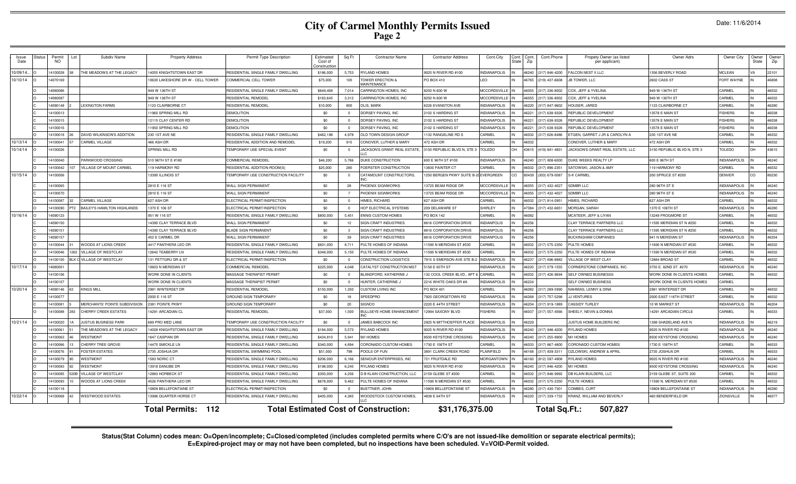# **City of Carmel Monthly Permits Issued Page 2**

|  | Date: 11/6/2014 |  |
|--|-----------------|--|
|  |                 |  |

| Issue<br>Date | tatus<br>Permit<br>NO. | Subdiv Name                   | <b>Property Address</b>          | Permit Type Description             | Estimated<br>Cost of<br>onstructio | Sq Ft                   | <b>Contractor Name</b>                       | <b>Contractor Address</b>   | Cont.City           | Cont. | Cont.<br>Zip | Cont.Phone           | Propety Owner (as listed<br>per applicant) | Owner Adrs                        | Owner City          | Owner<br>State | Owner<br>Zip |
|---------------|------------------------|-------------------------------|----------------------------------|-------------------------------------|------------------------------------|-------------------------|----------------------------------------------|-----------------------------|---------------------|-------|--------------|----------------------|--------------------------------------------|-----------------------------------|---------------------|----------------|--------------|
| 10/09/14.     | 14100028               | HE MEADOWS AT THE LEGACY      | 4055 KNIGHTSTOWN EAST DR         | RESIDENTIAL SINGLE FAMILY DWELLING  | \$186,000                          | 5.753                   | <b>RYLAND HOMES</b>                          | 9025 N RIVER RD #100        | <b>INDIANAPOLIS</b> |       |              | 46240 (317) 846-4200 | FALCON NEST II LLC                         | 1356 BEVERLY ROAD                 | <b>MCLEAN</b>       |                | 22101        |
| 10/10/14      | 4070169                |                               | 0630 LAKESHORE DR W - CELL TOWER | COMMERCIAL CELL TOWEF               | \$75,000                           | 100                     | OWER ERECTION &<br><b>MAINTENANCE</b>        | PO BOX 410                  | FO.                 |       | 6765         | (219) 437-6608       | <b>JB TOWER, LLC</b>                       | 2602 CASS ST                      | <b>FORT WAYNE</b>   |                | 46808        |
|               | 4080086                |                               | 949 W 136TH ST                   | RESIDENTIAL SINGLE FAMILY DWELLING  | \$649,408                          | 7,014                   | CARRINGTON HOMES. INC.                       | 3250 N 600 W                | <b>MCCORDSVILLE</b> |       |              | 16055 (317) 336-8002 | COX, JEFF & YVELINA                        | 949 W 136TH ST                    | CARMEL              |                | 46032        |
|               | 14080087               |                               | 949 W 136TH ST                   | RESIDENTIAL REMODEL                 | \$163,645                          | 3,312                   | CARRINGTON HOMES, INC                        | 3250 N 600 W                | <b>MCCORDSVILLE</b> |       |              | 16055 (317) 336-8002 | COX, JEFF & YVELINA                        | 949 W 136TH ST                    | CARMEL              |                | 46032        |
|               | 14090148               | <b>EXINGTON FARMS</b>         | 1123 CLAIRBORNE CT               | RESIDENTIAL REMODEL                 | \$10,000                           | 800                     | OLIS MARK                                    | 6226 EVANSTON AVE           | NDIANAPOLIS         |       |              | 46220 (317) 847-9602 | HOUSER, JARED                              | 1123 CLAIRBORNE CT                | CARMEL              |                | 46280        |
|               | 14100013               |                               | 1960 SPRING MILL RD              | <b>DEMOLITION</b>                   | \$0                                | $\overline{0}$          | DORSEY PAVING, INC                           | 2102 S HARDING ST           | INDIANAPOLIS        |       | 16221        | (317) 638-9326       | REPUBLIC DEVELOPMENT                       | 13578 E MAIN ST                   | <b>ISHERS</b>       | IN             | 46038        |
|               | 14100015               |                               | 12115 CLAY CENTER RD             | <b>DEMOLITION</b>                   | \$0                                | $\overline{0}$          | DORSEY PAVING, INC                           | 2102 S HARDING ST           | INDIANAPOLIS        |       | 16221        | (317) 638-9326       | REPUBLIC DEVELOPMENT                       | 13578 E MAIN ST                   | <b>FISHERS</b>      | IN             | 46038        |
|               | 14100016               |                               | 1950 SPRING MILL RD              | <b>DEMOLITION</b>                   | \$0                                | $\overline{0}$          | DORSEY PAVING, INC                           | 2102 S HARDING ST           | <b>INDIANAPOLIS</b> |       | 16221        | (317) 638-9326       | REPUBLIC DEVELOPMENT                       | 13578 E MAIN ST                   | <b>ISHERS</b>       | IN             | 46038        |
|               | 14100018               | DAVID WILKINSON'S ADDITION    | 230 1ST AVE NE                   | RESIDENTIAL SINGLE FAMILY DWELLING  | \$462,198                          | 4,978                   | OLD TOWN DESIGN GROUP                        | 1132 RANGELINE RD S         | CARMEL              | IN    | 16032        | (317) 626-8486       | ETGEN, GARRET J JR & CAROLYN A             | 230 1ST AVE NE                    | CARMEL              | IN             | 46032        |
| 10/13/14      | 14100041               | CARMEL VILLAGE                | 466 ASH DR                       | RESIDENTIAL ADDITION AND REMODEL    | \$19,200                           | 915                     | CONOVER, LUTHER & MARY                       | 472 ASH DR                  | CARMEL              | IN    | 16032        |                      | CONOVER, LUTHER & MARY                     | 472 ASH DR                        | CARMEL              |                | 46032        |
| 10/14/14      | 14100026               |                               | SPRING MILL RD                   | TEMPORARY USE SPECIAL EVENT         | \$0                                | $\overline{0}$          | JACKSON'S GRANT REAL ESTAT                   | 3150 REPUBLIC BLVD N, STE 3 | TOLEDO              | OH    | 43615        | (419) 841-4831       | JACKSON'S GRANT REAL ESTATE, LLC           | 3150 REPUBLIC BLVD N, STE 3       | TOLEDO              | $\bigcap$      | 43615        |
|               | 14100040               | ARKWOOD CROSSING              | 510 96TH ST E #180               | COMMERCIAL REMODEL                  | \$46,200                           | 5,766                   | DUKE CONSTRUCTION                            | 600 E 96TH ST #100          | INDIANAPOLIS        |       |              | 46240 (317) 808-6000 | DUKE WEEKS REALTY LP                       | 600 E 96TH ST                     | <b>INDIANAPOLIS</b> |                | 46240        |
|               | 14100042               | <b>ILLAGE OF MOUNT CARMEL</b> | 119 HARMONY RD                   | RESIDENTIAL ADDITION-ROOM(S)        | \$25,000                           | 280                     | FOERSTER CONSTRUCTION                        | 13830 PAINTER CT            | CARMEL              |       | <b>SCO31</b> | (317) 896-235        | SATOWSKI, JASON & AMY                      | 119 HARMONY RD                    | CARMEL              |                | 46032        |
| 10/15/14      | 14100006               |                               | 13390 ILLINOIS ST                | TEMPORARY USE CONSTRUCTION FACILITY | \$0                                | $\overline{\mathbf{0}}$ | CATAMOUNT CONSTRUCTORS                       | 1250 BERGEN PKWY SUITE B    | EVERGREEN           |       | 30439        | (303) 679-0087       | S-K CARMEL                                 | 200 SPRUCE ST #200                | <b>DENVER</b>       | CO             | 80230        |
|               | 14100065               |                               | 2810 E 116 ST                    | WALL SIGN PERMANENT                 | \$0                                | 28                      | <b>PHOENIX SIGNWORKS</b>                     | 3725 BEAM RIDGE DR          | <b>MCCORDSVILLE</b> |       |              | 6055 (317) 432-4027  | <b>SDMBR LLC</b>                           | 280 96TH ST E                     | NDIANAPOLIS         |                | 46240        |
|               | 4100070                |                               | 2810 E 116 ST                    | <b>WALL SIGN PERMANENT</b>          | \$0                                |                         | <b>HOENIX SIGNWORKS</b>                      | 13725 BEAM RIDGE DR         | <b>ACCORDSVILLE</b> |       | 6055         | (317) 432-4027       | SDMBR LLC                                  | 280 96TH ST B                     | NDIANAPOLIS         |                | 46240        |
|               | 4100087                | <b>CARMEL VILLAGE</b>         | 627 ASH DR                       | ELECTRICAL PERMIT/INSPECTION        | \$0                                | - 0                     | <b>HIMES, RICHARD</b>                        | 27 ASH DR                   | CARMEL              |       | 6032         | (317) 814-095        | HIMES, RICHARD                             | 627 ASH DR                        | CARMEL              |                | 46032        |
|               | 4100090                | BAILEY'S HAMILTON HIGHLANDS   | 1370 E 106 ST                    | ELECTRICAL PERMIT/INSPECTION        | \$0                                | $\Omega$                | HCP ELECTRICAL SYSTEMS                       | 209 DELAWARE ST             | SHIRLEY             |       |              | 17384 (317) 432-6651 | MORGAN, SARAH                              | 1370 E 106TH ST                   | NDIANAPOLIS         |                | 46280        |
| 10/16/14      | 4090123                |                               | 951 W 116 ST                     | RESIDENTIAL SINGLE FAMILY DWELLING  | \$800,000                          | 5,451                   | <b>ENNIS CUSTOM HOMES</b>                    | PO BOX 142                  | CARMEL              |       | 6082         |                      | MCATEER, JEFF & LIYAN                      | 13249 FROGMORE ST                 | CARMEL              |                | 46032        |
|               | 4090150                |                               | 4390 CLAY TERRACE BLVD           | WALL SIGN PERMANENT                 | \$0                                | 12                      | SIGN CRAFT INDUSTRIES                        | 816 CORPORATION DRIVE       | NDIANPOLIS          |       | 16256        |                      | CLAY TERRACE PARTNERS LLC                  | 1595 MERIDIAN ST N #250           | CARMEL              |                | 46032        |
|               | 409015                 |                               | 4390 CLAY TERRACE BLVD           | <b>BLADE SIGN PERMANENT</b>         | \$0                                | $\mathbf{3}$            | SIGN CRAFT INDUSTRIES                        | 816 CORPORATION DRIVE       | <b>VDIANPOLIS</b>   |       | 16256        |                      | CLAY TERRACE PARTNERS LLC                  | 1595 MERIDIAN ST N #250           | CARMEL              |                | 46032        |
|               | 4090157                |                               | 452 E CARMEL DR                  | WALL SIGN PERMANENT                 | \$0                                | 39                      | SIGN CRAFT INDUSTRIES                        | 816 CORPORATION DRIVE       | <b>VDIANPOLIS</b>   |       | 6256         |                      | <b>BUCKINGHAM COMPANIES</b>                | <b>941 N MERIDIAN ST</b>          | <b>NDIANAPOLIS</b>  |                | 46204        |
|               | 14100044               | <b>/OODS AT LIONS CREEK</b>   | 4417 PANTHERA LEO DR             | RESIDENTIAL SINGLE FAMILY DWELLING  | \$601,000                          | 8,711                   | PULTE HOMES OF INDIANA                       | 1590 N MERIDIAN ST #530     | CARMEL              |       |              | 16032 (317) 575-2350 | PULTE HOMES                                | 11690 N MERIDIAN ST #530          | CARMEL              |                | 46032        |
|               | 4100046                | <b>ILLAGE OF WESTCLAY</b>     | 12642 TEABERRY LN                | RESIDENTIAL SINGLE FAMILY DWELLING  | \$348,000                          | 5.150                   | PULTE HOMES OF INDIANA                       | 1590 N MERIDIAN ST #530     | <b>ARMEL</b>        |       | 6032         | (317) 575-2350       | PULTE HOMES OF INDIANA                     | 11590 N MERIDIAN ST #530          | CARMEL              |                | 46032        |
|               | 14100100               | VILLAGE OF WESTCLAY           | 131 PETTGRU DR & ST              | ELECTRICAL PERMIT/INSPECTION        | \$0                                | $\Omega$                | CONSTRUCTION LOGISTICS                       | 7915 S EMERSON AVE STE B-   | <b>NDIANAPOLIS</b>  |       | 6237         | (317) 696-8882       | <b>VILLAGE OF WEST CLAY</b>                | 12884 BROAD ST                    | CARMEL              |                | 46032        |
| 10/17/14      | 4080001                |                               | 0603 N MERIDIAN ST               | COMMERCIAL REMODEL                  | \$225,000                          | 4.048                   | CATALYST CONSTRUCTON MG                      | 158 E 65TH ST               | <b>NDIANAPOLIS</b>  |       |              | 46220 (317) 579-1555 | CORNERSTONE COMPANIES, INC.                | 3755 E. 82ND ST. #270             | <b>INDIANAPOLIS</b> |                | 46240        |
|               | 14100106               |                               | WORK DONE IN CLIENTS             | MASSAGE THERAPIST PERMIT            | \$0                                | $\sqrt{2}$              | BI ANDFORD, KATHERINE,                       | 132 COOL CREEK BLVD APT     | <b>ARMEL</b>        |       |              | 16032 (317) 426-9694 | SELF OWNED BUSINESSS                       | WORK DONE IN CLIENTS HOMES        | CARMEL              |                | 46032        |
|               | 14100107               |                               | WORK DONE IN CLIENTS             | MASSAGE THERAPIST PERMIT            | \$0                                | $\Omega$                | HUNTER, CATHERINE J                          | 2216 WHITE OAKS DR #A       | <b>NDIANAPOLIS</b>  |       | 6224         |                      | SELF OWNED BUSINESS                        | <b>WORK DONE IN CLIENTS HOMES</b> | <b>ARMEL</b>        |                |              |
| 10/20/14      | 14090146               | <b>KINGS MILL</b><br>63       | 2981 WINTERSET DR                | RESIDENTIAL REMODEL                 | \$150,000                          | 1,350                   | <b>CUSTOM LIVING INC</b>                     | PO BOX 401                  | CARMEL              | IN    |              | 16082 (317) 289-5990 | NAHMIAS, LENNY & DINA                      | 2981 WINTERSET DR                 | CARMEL              | IN             | 46032        |
|               | 14100077               |                               | 2000 E 116 ST                    | <b>GROUND SIGN TEMPORARY</b>        | \$0                                | 18                      | SPEEDPRO                                     | 7920 GEORGETOWN RD          | NDIANAPOLIS         |       | 8268         | (317) 757-5298       | <b>JJ VENTURES</b>                         | 2000 EAST 116TH STREET            | CARMEL              |                | 46032        |
|               | 14100081               | MERCHANTS' POINTE SUBDIVISION | 2381 POINTE PKWY                 | GROUND SIGN TEMPORARY               | \$0                                | 20                      | <b>SIGNCO</b>                                | 2220 E 44TH STREET          | <b>INDIANAPOLIS</b> |       | 16204        | (317) 919-1889       | CASSIDY TURLEY                             | 10 W MARKET ST                    | <b>INDIANAPOLIS</b> |                | 46204        |
|               | 14100088               | CHERRY CREEK ESTATES<br>283   | 14291 ARCADIAN CL                | RESIDENTIAL REMODEL                 | \$37,000                           | 1,500                   | <b>BULLSEYE HOME ENHANCEMENT</b>             | 12994 SAXONY BLVD           | <b>ISHERS</b>       |       | 16037        | (317) 557-4566       | SHEELY, NEVIN & DONNA                      | 14291 ARCADIAN CIRCLE             | CARMEL              |                | 46033        |
| 10/21/14      | 14100020               | <b>USTUS BUSINESS PARK</b>    | 689 PRO MED LANE                 | TEMPORARY USE CONSTRUCTION FACILITY | \$0                                | $\Omega$                | JAMES BABCOCK INC                            | 2925 N MITTHOEFFER PLACE    | <b>NDIANAPOLIS</b>  |       | 16229        |                      | JUSTUS HOME BUILDERS INC                   | 1398 SHADELAND AVE N              | <b>INDIANAPOLIS</b> |                | 46219        |
|               | 14100061               | THE MEADOWS AT THE LEGACY     | 14028 KNIGHTSTOWN EAST DF        | RESIDENTIAL SINGLE FAMILY DWELLING  | \$184,000                          | 5,573                   | <b>RYLAND HOMES</b>                          | 9025 N RIVER RD #100        | <b>INDIANAPOLIS</b> |       |              | 46240 (317) 846-4200 | <b>RYLAND HOMES</b>                        | 9025 N RIVER RD #100              | <b>INDIANAPOLIS</b> |                | 46240        |
|               | 14100063               | VESTMONT                      | 1647 CASPIAN DR                  | RESIDENTIAL SINGLE FAMILY DWELLING  | \$434,810                          | 5,941                   | M/I HOMES                                    | 8500 KEYSTONE CROSSING      | <b>NDIANAPOLIS</b>  |       |              | (317) 255-9900       | M/I HOMES                                  | 3500 KEYSTONE CROSSING            | <b>INDIANAPOLIS</b> |                | 46240        |
|               | 14100066               | CHERRY TREE GROVE             | 14470 SMICKLE LN                 | RESIDENTIAL SINGLE FAMILY DWELLING  | \$340,000                          | 4,894                   | CORONADO CUSTOM HOMES                        | 1730 E 156TH ST             | CARMEL              |       | 16033        | (317) 867-4800       | CORONADO CUSTOM HOMES                      | 1730 E 156TH ST                   | CARMEL              |                | 46033        |
|               | 14100076               | OSTER ESTATES                 | 2735 JOSHUA DR                   | RESIDENTIAL SWIMMING POOL           | \$51,000                           | 798                     | POOLS OF FUN                                 | 3891 CLARK CREEK ROAD       | PLAINFIELD          |       | 83161        | (317) 839-3311       | OZLOWSKI, ANDREW & APRIL                   | 2735 JOSHUA DR                    | CARMEL              |                | 46033        |
|               | 14100079               | <b>VESTMONT</b>               | 1583 NORIC CT                    | RESIDENTIAL SINGLE FAMILY DWELLING  | \$206,000                          | 6,166                   | SENIOUR ENTERPRISES, INC                     | 721 FRUITDALE RD            | <b>MORGANTOWN</b>   |       | 16160        | (812) 597-4908       | <b>RYLAND HOMES</b>                        | 9025 N RIVER RD #100              | <b>INDIANAPOLIS</b> |                | 46240        |
|               | 14100083               | <b>VESTMONT</b>               | 13918 DANUBE DR                  | RESIDENTIAL SINGLE FAMILY DWELLING  | \$198,000                          | 6,245                   | <b>RYLAND HOMES</b>                          | 9025 N RIVER RD #100        | <b>INDIANAPOLIS</b> |       | 16240        | (317) 846-4200       | M/I HOMES                                  | <b>3500 KEYSTONE CROSSING</b>     | <b>INDIANAPOLIS</b> |                | 46240        |
|               | 14100085               | VILLAGE OF WESTCLAY           | 12883 HORBECK ST                 | RESIDENTIAL SINGLE FAMILY DWELLING  | \$350,000                          | 4,256                   | D B KLAIN CONSTRUCTION, LLC                  | 159 GLEBE ST #200           | CARMEL              |       | 6032         | (317) 846-9992       | DB KLAIN BUILDERS, LLC                     | 2159 GLEBE ST, SUITE 200          | CARMEL              |                | 46032        |
|               | 14100093               | VOODS AT LIONS CREEK          | 4526 PANTHERA LEO DR             | RESIDENTIAL SINGLE FAMILY DWELLING  | \$678,000                          | 9.462                   | PULTE HOMES OF INDIANA                       | 1590 N MERIDIAN ST #530     | <b>ARMEL</b>        |       | 6032         | 317) 575-2350        | PULTE HOMES                                | 1590 N. MERIDIAN ST #530          | CARMEL              |                | 46032        |
|               | 14100118               |                               | 0809 BELLEFONTAINE ST            | ELECTRICAL PERMIT/INSPECTION        | \$0                                | $\overline{0}$          | <b>BUETTNER, JOHN</b>                        | 10809 BELLEFONTAINE ST      | NDIANAPOLIS         |       | 16280        | (317) 430-7301       | COMBES, CURT                               | 10809 BELLEFONTAINE ST            | <b>INDIANAPOLIS</b> |                | 46280        |
| 10/22/14      | 14100068               | <b>WESTWOOD ESTATES</b><br>42 | 13996 OUARTER HORSE C            | RESIDENTIAL SINGLE FAMILY DWELLING  | \$405,000                          | 4,365                   | WOODSTOCK CUSTOM HOMES                       | 4838 E 64TH ST              | <b>INDIANAPOLIS</b> |       | 16220        | (317) 339-1732       | KRANZ, WILLIAM AND BEVERLY                 | <b>460 BENDERFIELD DR</b>         | ZIONSVILLE          |                | 46077        |
|               |                        |                               | 112<br>Total Permits:            |                                     |                                    |                         | <b>Total Estimated Cost of Construction:</b> | \$31,176,375.00             |                     |       |              | <b>Total Sq.Ft.:</b> | 507,827                                    |                                   |                     |                |              |

Status(Stat Column) codes mean: O=Open/incomplete; C=Closed/completed (includes completed permits where C/O's are not issued-like demolition or separate electrical permits);<br>E=Expired-project may or may not have been compl